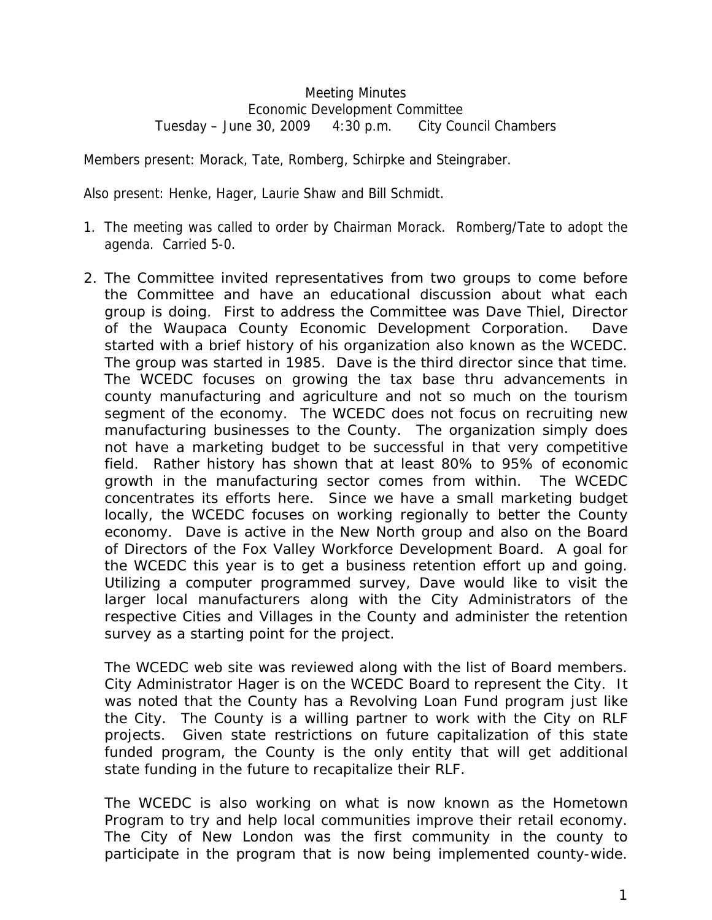## Meeting Minutes Economic Development Committee Tuesday – June 30, 2009 4:30 p.m. City Council Chambers

Members present: Morack, Tate, Romberg, Schirpke and Steingraber.

Also present: Henke, Hager, Laurie Shaw and Bill Schmidt.

- 1. The meeting was called to order by Chairman Morack. Romberg/Tate to adopt the agenda. Carried 5-0.
- 2. The Committee invited representatives from two groups to come before the Committee and have an educational discussion about what each group is doing. First to address the Committee was Dave Thiel, Director of the Waupaca County Economic Development Corporation. Dave started with a brief history of his organization also known as the WCEDC. The group was started in 1985. Dave is the third director since that time. The WCEDC focuses on growing the tax base thru advancements in county manufacturing and agriculture and not so much on the tourism segment of the economy. The WCEDC does not focus on recruiting new manufacturing businesses to the County. The organization simply does not have a marketing budget to be successful in that very competitive field. Rather history has shown that at least 80% to 95% of economic growth in the manufacturing sector comes from within. The WCEDC concentrates its efforts here. Since we have a small marketing budget locally, the WCEDC focuses on working regionally to better the County economy. Dave is active in the New North group and also on the Board of Directors of the Fox Valley Workforce Development Board. A goal for the WCEDC this year is to get a business retention effort up and going. Utilizing a computer programmed survey, Dave would like to visit the larger local manufacturers along with the City Administrators of the respective Cities and Villages in the County and administer the retention survey as a starting point for the project.

The WCEDC web site was reviewed along with the list of Board members. City Administrator Hager is on the WCEDC Board to represent the City. It was noted that the County has a Revolving Loan Fund program just like the City. The County is a willing partner to work with the City on RLF projects. Given state restrictions on future capitalization of this state funded program, the County is the only entity that will get additional state funding in the future to recapitalize their RLF.

The WCEDC is also working on what is now known as the Hometown Program to try and help local communities improve their retail economy. The City of New London was the first community in the county to participate in the program that is now being implemented county-wide.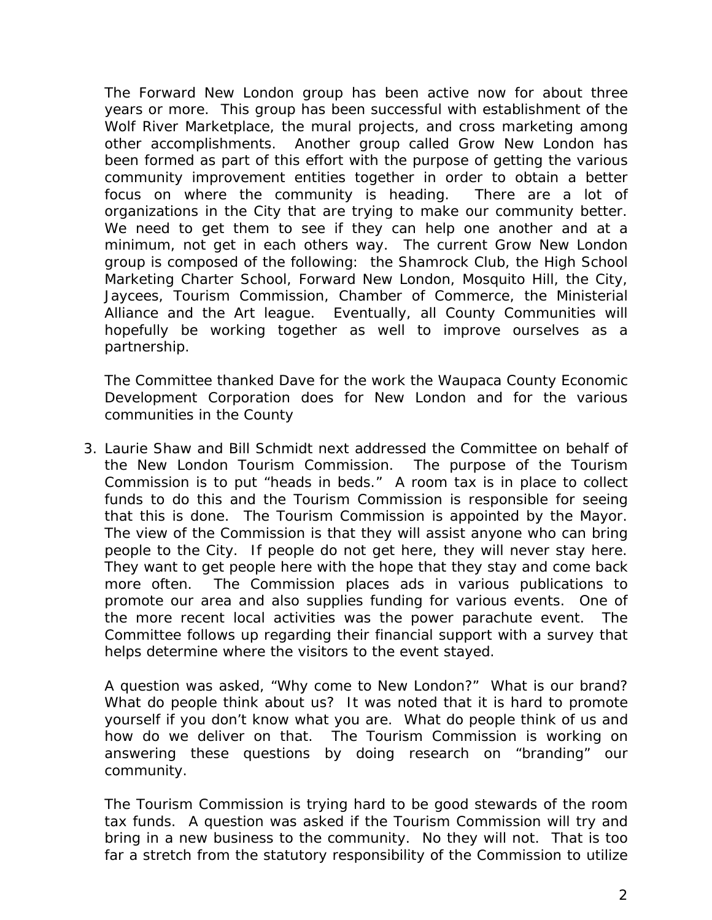The Forward New London group has been active now for about three years or more. This group has been successful with establishment of the Wolf River Marketplace, the mural projects, and cross marketing among other accomplishments. Another group called Grow New London has been formed as part of this effort with the purpose of getting the various community improvement entities together in order to obtain a better focus on where the community is heading. There are a lot of organizations in the City that are trying to make our community better. We need to get them to see if they can help one another and at a minimum, not get in each others way. The current Grow New London group is composed of the following: the Shamrock Club, the High School Marketing Charter School, Forward New London, Mosquito Hill, the City, Jaycees, Tourism Commission, Chamber of Commerce, the Ministerial Alliance and the Art league. Eventually, all County Communities will hopefully be working together as well to improve ourselves as a partnership.

The Committee thanked Dave for the work the Waupaca County Economic Development Corporation does for New London and for the various communities in the County

3. Laurie Shaw and Bill Schmidt next addressed the Committee on behalf of the New London Tourism Commission. The purpose of the Tourism Commission is to put "heads in beds." A room tax is in place to collect funds to do this and the Tourism Commission is responsible for seeing that this is done. The Tourism Commission is appointed by the Mayor. The view of the Commission is that they will assist anyone who can bring people to the City. If people do not get here, they will never stay here. They want to get people here with the hope that they stay and come back more often. The Commission places ads in various publications to promote our area and also supplies funding for various events. One of the more recent local activities was the power parachute event. The Committee follows up regarding their financial support with a survey that helps determine where the visitors to the event stayed.

A question was asked, "Why come to New London?" What is our brand? What do people think about us? It was noted that it is hard to promote yourself if you don't know what you are. What do people think of us and how do we deliver on that. The Tourism Commission is working on answering these questions by doing research on "branding" our community.

The Tourism Commission is trying hard to be good stewards of the room tax funds. A question was asked if the Tourism Commission will try and bring in a new business to the community. No they will not. That is too far a stretch from the statutory responsibility of the Commission to utilize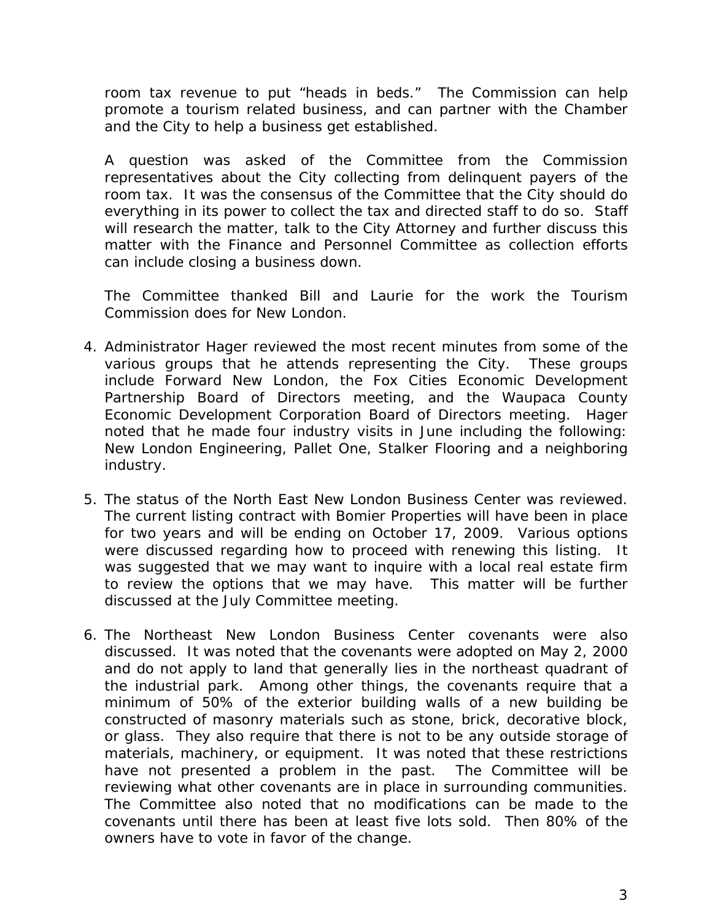room tax revenue to put "heads in beds." The Commission can help promote a tourism related business, and can partner with the Chamber and the City to help a business get established.

A question was asked of the Committee from the Commission representatives about the City collecting from delinquent payers of the room tax. It was the consensus of the Committee that the City should do everything in its power to collect the tax and directed staff to do so. Staff will research the matter, talk to the City Attorney and further discuss this matter with the Finance and Personnel Committee as collection efforts can include closing a business down.

The Committee thanked Bill and Laurie for the work the Tourism Commission does for New London.

- 4. Administrator Hager reviewed the most recent minutes from some of the various groups that he attends representing the City. These groups include Forward New London, the Fox Cities Economic Development Partnership Board of Directors meeting, and the Waupaca County Economic Development Corporation Board of Directors meeting. Hager noted that he made four industry visits in June including the following: New London Engineering, Pallet One, Stalker Flooring and a neighboring industry.
- 5. The status of the North East New London Business Center was reviewed. The current listing contract with Bomier Properties will have been in place for two years and will be ending on October 17, 2009. Various options were discussed regarding how to proceed with renewing this listing. It was suggested that we may want to inquire with a local real estate firm to review the options that we may have. This matter will be further discussed at the July Committee meeting.
- 6. The Northeast New London Business Center covenants were also discussed. It was noted that the covenants were adopted on May 2, 2000 and do not apply to land that generally lies in the northeast quadrant of the industrial park. Among other things, the covenants require that a minimum of 50% of the exterior building walls of a new building be constructed of masonry materials such as stone, brick, decorative block, or glass. They also require that there is not to be any outside storage of materials, machinery, or equipment. It was noted that these restrictions have not presented a problem in the past. The Committee will be reviewing what other covenants are in place in surrounding communities. The Committee also noted that no modifications can be made to the covenants until there has been at least five lots sold. Then 80% of the owners have to vote in favor of the change.